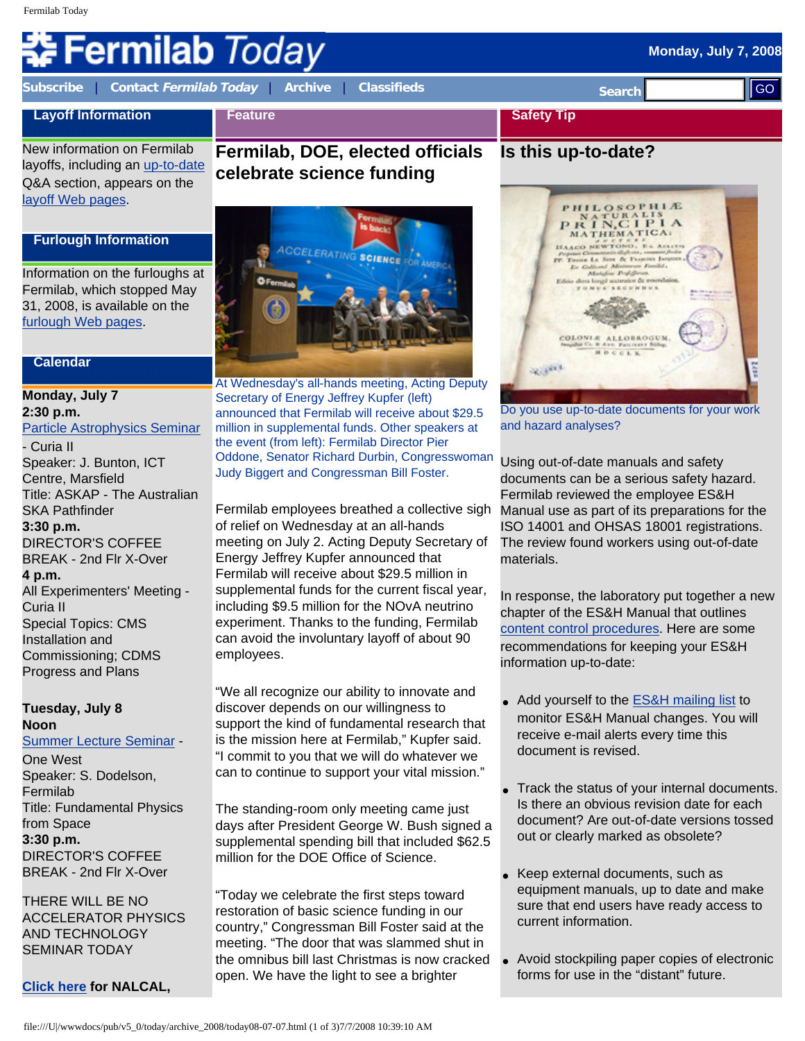# **Fermilab** *Today*

**[Subscribe](http://www.fnal.gov/pub/today/subscription.html)** | **Contact [Fermilab Today](mailto:today@fnal.gov)** | **[Archive](http://www.fnal.gov/pub/today/archive.html)** | **[Classifieds](http://www.fnal.gov/pub/today/classifieds.html) Search** 

**Feature**

#### **Layoff Information**

New information on Fermilab layoffs, including an [up-to-date](http://www.fnal.gov/faw/layoffs/q_and_a.html) Q&A section, appears on the [layoff Web pages.](http://www.fnal.gov/faw/layoffs/)

#### **Furlough Information**

Information on the furloughs at Fermilab, which stopped May 31, 2008, is available on the [furlough Web pages](http://www.fnal.gov/faw/furlough/index.html).

#### **Calendar**

# **Monday, July 7 2:30 p.m.**  [Particle Astrophysics Seminar](http://www-astro-theory.fnal.gov/events/seminars.html) - Curia II Speaker: J. Bunton, ICT Centre, Marsfield Title: ASKAP - The Australian SKA Pathfinder **3:30 p.m.** DIRECTOR'S COFFEE BREAK - 2nd Flr X-Over **4 p.m.** All Experimenters' Meeting - Curia II Special Topics: CMS Installation and Commissioning; CDMS Progress and Plans **Example 2008**<br> **Example 2008**<br> **Example 2008**<br> **Example 2008**<br> **Example 2008**<br> **Example 2008**<br> **Example 2008**<br> **Example 2008**<br> **Example 2008**<br> **Example 2008**<br> **Example 2008**<br> **Example 2008**<br> **Example 2008**<br> **Example 2008**

#### **Tuesday, July 8 Noon**

[Summer Lecture Seminar](http://sist.fnal.gov/lectures.html) - One West Speaker: S. Dodelson, Fermilab Title: Fundamental Physics from Space **3:30 p.m.** DIRECTOR'S COFFEE BREAK - 2nd Flr X-Over

THERE WILL BE NO ACCELERATOR PHYSICS AND TECHNOLOGY SEMINAR TODAY

**[Click here](http://www.fnal.gov/directorate/nalcal/nalcal07_07_08.html) for NALCAL,** 

## **Fermilab, DOE, elected officials celebrate science funding**



At Wednesday's all-hands meeting, Acting Deputy Secretary of Energy Jeffrey Kupfer (left) announced that Fermilab will receive about \$29.5 million in supplemental funds. Other speakers at the event (from left): Fermilab Director Pier Oddone, Senator Richard Durbin, Congresswoman Judy Biggert and Congressman Bill Foster.

Fermilab employees breathed a collective sigh of relief on Wednesday at an all-hands meeting on July 2. Acting Deputy Secretary of Energy Jeffrey Kupfer announced that Fermilab will receive about \$29.5 million in supplemental funds for the current fiscal year, including \$9.5 million for the NOvA neutrino experiment. Thanks to the funding, Fermilab can avoid the involuntary layoff of about 90 employees.

"We all recognize our ability to innovate and discover depends on our willingness to support the kind of fundamental research that is the mission here at Fermilab," Kupfer said. "I commit to you that we will do whatever we can to continue to support your vital mission."

The standing-room only meeting came just days after President George W. Bush signed a supplemental spending bill that included \$62.5 million for the DOE Office of Science.

"Today we celebrate the first steps toward restoration of basic science funding in our country," Congressman Bill Foster said at the meeting. "The door that was slammed shut in the omnibus bill last Christmas is now cracked open. We have the light to see a brighter



**Safety Tip**

**Is this up-to-date?**

**Monday, July 7, 2008** 



Do you use up-to-date documents for your work and hazard analyses?

Using out-of-date manuals and safety documents can be a serious safety hazard. Fermilab reviewed the employee ES&H Manual use as part of its preparations for the ISO 14001 and OHSAS 18001 registrations. The review found workers using out-of-date materials.

In response, the laboratory put together a new chapter of the ES&H Manual that outlines [content control procedures.](http://www-esh.fnal.gov/FESHM/1000/1051.htm) Here are some recommendations for keeping your ES&H information up-to-date:

- Add yourself to the **ES&H** mailing list to monitor ES&H Manual changes. You will receive e-mail alerts every time this document is revised.
- Track the status of your internal documents. Is there an obvious revision date for each document? Are out-of-date versions tossed out or clearly marked as obsolete?
- Keep external documents, such as equipment manuals, up to date and make sure that end users have ready access to current information.
- Avoid stockpiling paper copies of electronic forms for use in the "distant" future.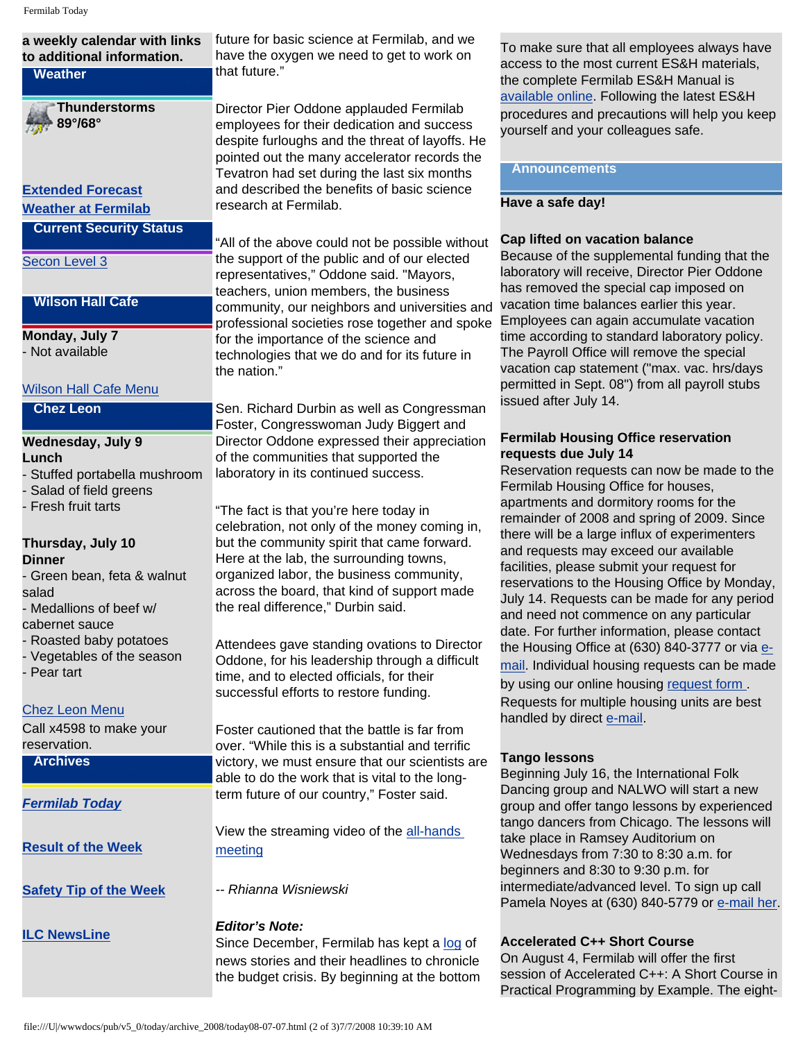| <b>Thunderstorms</b><br>Director Pier Oddone applauded Fermilab<br>89°/68°<br>employees for their dedication and success<br>yourself and your colleagues safe.<br>despite furloughs and the threat of layoffs. He<br>pointed out the many accelerator records the<br><b>Announcements</b><br>Tevatron had set during the last six months<br>and described the benefits of basic science<br><b>Extended Forecast</b><br>Have a safe day!<br>research at Fermilab.<br><b>Weather at Fermilab</b><br><b>Current Security Status</b><br>Cap lifted on vacation balance<br>"All of the above could not be possible without<br>the support of the public and of our elected<br>Secon Level 3<br>representatives," Oddone said. "Mayors,<br>has removed the special cap imposed on<br>teachers, union members, the business<br><b>Wilson Hall Cafe</b><br>vacation time balances earlier this year.<br>community, our neighbors and universities and<br>Employees can again accumulate vacation<br>professional societies rose together and spoke<br>Monday, July 7<br>for the importance of the science and<br>- Not available<br>technologies that we do and for its future in<br>the nation."<br>permitted in Sept. 08") from all payroll stubs<br><b>Wilson Hall Cafe Menu</b><br>issued after July 14.<br><b>Chez Leon</b><br>Sen. Richard Durbin as well as Congressman<br>Foster, Congresswoman Judy Biggert and<br><b>Fermilab Housing Office reservation</b><br>Director Oddone expressed their appreciation<br><b>Wednesday, July 9</b><br>requests due July 14<br>of the communities that supported the<br>Lunch<br>laboratory in its continued success.<br>- Stuffed portabella mushroom<br>Fermilab Housing Office for houses,<br>Salad of field greens<br>apartments and dormitory rooms for the<br>Fresh fruit tarts<br>"The fact is that you're here today in<br>celebration, not only of the money coming in,<br>there will be a large influx of experimenters<br>but the community spirit that came forward.<br>Thursday, July 10<br>and requests may exceed our available<br>Here at the lab, the surrounding towns,<br><b>Dinner</b><br>facilities, please submit your request for<br>organized labor, the business community,<br>- Green bean, feta & walnut<br>across the board, that kind of support made<br>salad<br>the real difference," Durbin said.<br>- Medallions of beef w/<br>and need not commence on any particular<br>cabernet sauce<br>Roasted baby potatoes<br>Attendees gave standing ovations to Director<br>- Vegetables of the season<br>Oddone, for his leadership through a difficult<br>- Pear tart<br>time, and to elected officials, for their<br>by using our online housing request form.<br>successful efforts to restore funding.<br>Requests for multiple housing units are best<br><b>Chez Leon Menu</b><br>handled by direct e-mail.<br>Call x4598 to make your<br>Foster cautioned that the battle is far from<br>reservation.<br>over. "While this is a substantial and terrific<br><b>Tango lessons</b><br><b>Archives</b><br>victory, we must ensure that our scientists are<br>Beginning July 16, the International Folk<br>able to do the work that is vital to the long-<br>term future of our country," Foster said.<br><b>Fermilab Today</b><br>tango dancers from Chicago. The lessons will<br>View the streaming video of the all-hands<br>take place in Ramsey Auditorium on<br><b>Result of the Week</b><br>meeting<br>Wednesdays from 7:30 to 8:30 a.m. for<br>beginners and 8:30 to 9:30 p.m. for<br>-- Rhianna Wisniewski<br><b>Safety Tip of the Week</b><br><b>Editor's Note:</b><br><b>ILC NewsLine</b><br><b>Accelerated C++ Short Course</b><br>Since December, Fermilab has kept a log of | a weekly calendar with links<br>to additional information.<br><b>Weather</b> | future for basic science at Fermilab, and we<br>have the oxygen we need to get to work on<br>that future." | To make sure that all employees always have<br>access to the most current ES&H materials,<br>the complete Fermilab ES&H Manual is           |
|---------------------------------------------------------------------------------------------------------------------------------------------------------------------------------------------------------------------------------------------------------------------------------------------------------------------------------------------------------------------------------------------------------------------------------------------------------------------------------------------------------------------------------------------------------------------------------------------------------------------------------------------------------------------------------------------------------------------------------------------------------------------------------------------------------------------------------------------------------------------------------------------------------------------------------------------------------------------------------------------------------------------------------------------------------------------------------------------------------------------------------------------------------------------------------------------------------------------------------------------------------------------------------------------------------------------------------------------------------------------------------------------------------------------------------------------------------------------------------------------------------------------------------------------------------------------------------------------------------------------------------------------------------------------------------------------------------------------------------------------------------------------------------------------------------------------------------------------------------------------------------------------------------------------------------------------------------------------------------------------------------------------------------------------------------------------------------------------------------------------------------------------------------------------------------------------------------------------------------------------------------------------------------------------------------------------------------------------------------------------------------------------------------------------------------------------------------------------------------------------------------------------------------------------------------------------------------------------------------------------------------------------------------------------------------------------------------------------------------------------------------------------------------------------------------------------------------------------------------------------------------------------------------------------------------------------------------------------------------------------------------------------------------------------------------------------------------------------------------------------------------------------------------------------------------------------------------------------------------------------------------------------------------------------------------------------------------------------------------------------------------------------------------------------------------------------------------------------------------------------------------------------------------------------------------------------------------------------------------------------------------------------------------------------------------------------------------------------------------------------------------------|------------------------------------------------------------------------------|------------------------------------------------------------------------------------------------------------|---------------------------------------------------------------------------------------------------------------------------------------------|
|                                                                                                                                                                                                                                                                                                                                                                                                                                                                                                                                                                                                                                                                                                                                                                                                                                                                                                                                                                                                                                                                                                                                                                                                                                                                                                                                                                                                                                                                                                                                                                                                                                                                                                                                                                                                                                                                                                                                                                                                                                                                                                                                                                                                                                                                                                                                                                                                                                                                                                                                                                                                                                                                                                                                                                                                                                                                                                                                                                                                                                                                                                                                                                                                                                                                                                                                                                                                                                                                                                                                                                                                                                                                                                                                                               |                                                                              |                                                                                                            | available online. Following the latest ES&H<br>procedures and precautions will help you keep                                                |
|                                                                                                                                                                                                                                                                                                                                                                                                                                                                                                                                                                                                                                                                                                                                                                                                                                                                                                                                                                                                                                                                                                                                                                                                                                                                                                                                                                                                                                                                                                                                                                                                                                                                                                                                                                                                                                                                                                                                                                                                                                                                                                                                                                                                                                                                                                                                                                                                                                                                                                                                                                                                                                                                                                                                                                                                                                                                                                                                                                                                                                                                                                                                                                                                                                                                                                                                                                                                                                                                                                                                                                                                                                                                                                                                                               |                                                                              |                                                                                                            |                                                                                                                                             |
|                                                                                                                                                                                                                                                                                                                                                                                                                                                                                                                                                                                                                                                                                                                                                                                                                                                                                                                                                                                                                                                                                                                                                                                                                                                                                                                                                                                                                                                                                                                                                                                                                                                                                                                                                                                                                                                                                                                                                                                                                                                                                                                                                                                                                                                                                                                                                                                                                                                                                                                                                                                                                                                                                                                                                                                                                                                                                                                                                                                                                                                                                                                                                                                                                                                                                                                                                                                                                                                                                                                                                                                                                                                                                                                                                               |                                                                              |                                                                                                            |                                                                                                                                             |
|                                                                                                                                                                                                                                                                                                                                                                                                                                                                                                                                                                                                                                                                                                                                                                                                                                                                                                                                                                                                                                                                                                                                                                                                                                                                                                                                                                                                                                                                                                                                                                                                                                                                                                                                                                                                                                                                                                                                                                                                                                                                                                                                                                                                                                                                                                                                                                                                                                                                                                                                                                                                                                                                                                                                                                                                                                                                                                                                                                                                                                                                                                                                                                                                                                                                                                                                                                                                                                                                                                                                                                                                                                                                                                                                                               |                                                                              |                                                                                                            |                                                                                                                                             |
|                                                                                                                                                                                                                                                                                                                                                                                                                                                                                                                                                                                                                                                                                                                                                                                                                                                                                                                                                                                                                                                                                                                                                                                                                                                                                                                                                                                                                                                                                                                                                                                                                                                                                                                                                                                                                                                                                                                                                                                                                                                                                                                                                                                                                                                                                                                                                                                                                                                                                                                                                                                                                                                                                                                                                                                                                                                                                                                                                                                                                                                                                                                                                                                                                                                                                                                                                                                                                                                                                                                                                                                                                                                                                                                                                               |                                                                              |                                                                                                            | Because of the supplemental funding that the<br>laboratory will receive, Director Pier Oddone                                               |
|                                                                                                                                                                                                                                                                                                                                                                                                                                                                                                                                                                                                                                                                                                                                                                                                                                                                                                                                                                                                                                                                                                                                                                                                                                                                                                                                                                                                                                                                                                                                                                                                                                                                                                                                                                                                                                                                                                                                                                                                                                                                                                                                                                                                                                                                                                                                                                                                                                                                                                                                                                                                                                                                                                                                                                                                                                                                                                                                                                                                                                                                                                                                                                                                                                                                                                                                                                                                                                                                                                                                                                                                                                                                                                                                                               |                                                                              |                                                                                                            |                                                                                                                                             |
|                                                                                                                                                                                                                                                                                                                                                                                                                                                                                                                                                                                                                                                                                                                                                                                                                                                                                                                                                                                                                                                                                                                                                                                                                                                                                                                                                                                                                                                                                                                                                                                                                                                                                                                                                                                                                                                                                                                                                                                                                                                                                                                                                                                                                                                                                                                                                                                                                                                                                                                                                                                                                                                                                                                                                                                                                                                                                                                                                                                                                                                                                                                                                                                                                                                                                                                                                                                                                                                                                                                                                                                                                                                                                                                                                               |                                                                              |                                                                                                            | time according to standard laboratory policy.<br>The Payroll Office will remove the special<br>vacation cap statement ("max. vac. hrs/days  |
|                                                                                                                                                                                                                                                                                                                                                                                                                                                                                                                                                                                                                                                                                                                                                                                                                                                                                                                                                                                                                                                                                                                                                                                                                                                                                                                                                                                                                                                                                                                                                                                                                                                                                                                                                                                                                                                                                                                                                                                                                                                                                                                                                                                                                                                                                                                                                                                                                                                                                                                                                                                                                                                                                                                                                                                                                                                                                                                                                                                                                                                                                                                                                                                                                                                                                                                                                                                                                                                                                                                                                                                                                                                                                                                                                               |                                                                              |                                                                                                            |                                                                                                                                             |
|                                                                                                                                                                                                                                                                                                                                                                                                                                                                                                                                                                                                                                                                                                                                                                                                                                                                                                                                                                                                                                                                                                                                                                                                                                                                                                                                                                                                                                                                                                                                                                                                                                                                                                                                                                                                                                                                                                                                                                                                                                                                                                                                                                                                                                                                                                                                                                                                                                                                                                                                                                                                                                                                                                                                                                                                                                                                                                                                                                                                                                                                                                                                                                                                                                                                                                                                                                                                                                                                                                                                                                                                                                                                                                                                                               |                                                                              |                                                                                                            |                                                                                                                                             |
|                                                                                                                                                                                                                                                                                                                                                                                                                                                                                                                                                                                                                                                                                                                                                                                                                                                                                                                                                                                                                                                                                                                                                                                                                                                                                                                                                                                                                                                                                                                                                                                                                                                                                                                                                                                                                                                                                                                                                                                                                                                                                                                                                                                                                                                                                                                                                                                                                                                                                                                                                                                                                                                                                                                                                                                                                                                                                                                                                                                                                                                                                                                                                                                                                                                                                                                                                                                                                                                                                                                                                                                                                                                                                                                                                               |                                                                              |                                                                                                            |                                                                                                                                             |
|                                                                                                                                                                                                                                                                                                                                                                                                                                                                                                                                                                                                                                                                                                                                                                                                                                                                                                                                                                                                                                                                                                                                                                                                                                                                                                                                                                                                                                                                                                                                                                                                                                                                                                                                                                                                                                                                                                                                                                                                                                                                                                                                                                                                                                                                                                                                                                                                                                                                                                                                                                                                                                                                                                                                                                                                                                                                                                                                                                                                                                                                                                                                                                                                                                                                                                                                                                                                                                                                                                                                                                                                                                                                                                                                                               |                                                                              |                                                                                                            | Reservation requests can now be made to the                                                                                                 |
|                                                                                                                                                                                                                                                                                                                                                                                                                                                                                                                                                                                                                                                                                                                                                                                                                                                                                                                                                                                                                                                                                                                                                                                                                                                                                                                                                                                                                                                                                                                                                                                                                                                                                                                                                                                                                                                                                                                                                                                                                                                                                                                                                                                                                                                                                                                                                                                                                                                                                                                                                                                                                                                                                                                                                                                                                                                                                                                                                                                                                                                                                                                                                                                                                                                                                                                                                                                                                                                                                                                                                                                                                                                                                                                                                               |                                                                              |                                                                                                            | remainder of 2008 and spring of 2009. Since                                                                                                 |
|                                                                                                                                                                                                                                                                                                                                                                                                                                                                                                                                                                                                                                                                                                                                                                                                                                                                                                                                                                                                                                                                                                                                                                                                                                                                                                                                                                                                                                                                                                                                                                                                                                                                                                                                                                                                                                                                                                                                                                                                                                                                                                                                                                                                                                                                                                                                                                                                                                                                                                                                                                                                                                                                                                                                                                                                                                                                                                                                                                                                                                                                                                                                                                                                                                                                                                                                                                                                                                                                                                                                                                                                                                                                                                                                                               |                                                                              |                                                                                                            |                                                                                                                                             |
|                                                                                                                                                                                                                                                                                                                                                                                                                                                                                                                                                                                                                                                                                                                                                                                                                                                                                                                                                                                                                                                                                                                                                                                                                                                                                                                                                                                                                                                                                                                                                                                                                                                                                                                                                                                                                                                                                                                                                                                                                                                                                                                                                                                                                                                                                                                                                                                                                                                                                                                                                                                                                                                                                                                                                                                                                                                                                                                                                                                                                                                                                                                                                                                                                                                                                                                                                                                                                                                                                                                                                                                                                                                                                                                                                               |                                                                              |                                                                                                            | reservations to the Housing Office by Monday,<br>July 14. Requests can be made for any period                                               |
|                                                                                                                                                                                                                                                                                                                                                                                                                                                                                                                                                                                                                                                                                                                                                                                                                                                                                                                                                                                                                                                                                                                                                                                                                                                                                                                                                                                                                                                                                                                                                                                                                                                                                                                                                                                                                                                                                                                                                                                                                                                                                                                                                                                                                                                                                                                                                                                                                                                                                                                                                                                                                                                                                                                                                                                                                                                                                                                                                                                                                                                                                                                                                                                                                                                                                                                                                                                                                                                                                                                                                                                                                                                                                                                                                               |                                                                              |                                                                                                            | date. For further information, please contact<br>the Housing Office at (630) 840-3777 or via e-                                             |
|                                                                                                                                                                                                                                                                                                                                                                                                                                                                                                                                                                                                                                                                                                                                                                                                                                                                                                                                                                                                                                                                                                                                                                                                                                                                                                                                                                                                                                                                                                                                                                                                                                                                                                                                                                                                                                                                                                                                                                                                                                                                                                                                                                                                                                                                                                                                                                                                                                                                                                                                                                                                                                                                                                                                                                                                                                                                                                                                                                                                                                                                                                                                                                                                                                                                                                                                                                                                                                                                                                                                                                                                                                                                                                                                                               |                                                                              |                                                                                                            | mail. Individual housing requests can be made                                                                                               |
|                                                                                                                                                                                                                                                                                                                                                                                                                                                                                                                                                                                                                                                                                                                                                                                                                                                                                                                                                                                                                                                                                                                                                                                                                                                                                                                                                                                                                                                                                                                                                                                                                                                                                                                                                                                                                                                                                                                                                                                                                                                                                                                                                                                                                                                                                                                                                                                                                                                                                                                                                                                                                                                                                                                                                                                                                                                                                                                                                                                                                                                                                                                                                                                                                                                                                                                                                                                                                                                                                                                                                                                                                                                                                                                                                               |                                                                              |                                                                                                            |                                                                                                                                             |
|                                                                                                                                                                                                                                                                                                                                                                                                                                                                                                                                                                                                                                                                                                                                                                                                                                                                                                                                                                                                                                                                                                                                                                                                                                                                                                                                                                                                                                                                                                                                                                                                                                                                                                                                                                                                                                                                                                                                                                                                                                                                                                                                                                                                                                                                                                                                                                                                                                                                                                                                                                                                                                                                                                                                                                                                                                                                                                                                                                                                                                                                                                                                                                                                                                                                                                                                                                                                                                                                                                                                                                                                                                                                                                                                                               |                                                                              |                                                                                                            |                                                                                                                                             |
|                                                                                                                                                                                                                                                                                                                                                                                                                                                                                                                                                                                                                                                                                                                                                                                                                                                                                                                                                                                                                                                                                                                                                                                                                                                                                                                                                                                                                                                                                                                                                                                                                                                                                                                                                                                                                                                                                                                                                                                                                                                                                                                                                                                                                                                                                                                                                                                                                                                                                                                                                                                                                                                                                                                                                                                                                                                                                                                                                                                                                                                                                                                                                                                                                                                                                                                                                                                                                                                                                                                                                                                                                                                                                                                                                               |                                                                              |                                                                                                            |                                                                                                                                             |
|                                                                                                                                                                                                                                                                                                                                                                                                                                                                                                                                                                                                                                                                                                                                                                                                                                                                                                                                                                                                                                                                                                                                                                                                                                                                                                                                                                                                                                                                                                                                                                                                                                                                                                                                                                                                                                                                                                                                                                                                                                                                                                                                                                                                                                                                                                                                                                                                                                                                                                                                                                                                                                                                                                                                                                                                                                                                                                                                                                                                                                                                                                                                                                                                                                                                                                                                                                                                                                                                                                                                                                                                                                                                                                                                                               |                                                                              |                                                                                                            | Dancing group and NALWO will start a new<br>group and offer tango lessons by experienced                                                    |
|                                                                                                                                                                                                                                                                                                                                                                                                                                                                                                                                                                                                                                                                                                                                                                                                                                                                                                                                                                                                                                                                                                                                                                                                                                                                                                                                                                                                                                                                                                                                                                                                                                                                                                                                                                                                                                                                                                                                                                                                                                                                                                                                                                                                                                                                                                                                                                                                                                                                                                                                                                                                                                                                                                                                                                                                                                                                                                                                                                                                                                                                                                                                                                                                                                                                                                                                                                                                                                                                                                                                                                                                                                                                                                                                                               |                                                                              |                                                                                                            |                                                                                                                                             |
|                                                                                                                                                                                                                                                                                                                                                                                                                                                                                                                                                                                                                                                                                                                                                                                                                                                                                                                                                                                                                                                                                                                                                                                                                                                                                                                                                                                                                                                                                                                                                                                                                                                                                                                                                                                                                                                                                                                                                                                                                                                                                                                                                                                                                                                                                                                                                                                                                                                                                                                                                                                                                                                                                                                                                                                                                                                                                                                                                                                                                                                                                                                                                                                                                                                                                                                                                                                                                                                                                                                                                                                                                                                                                                                                                               |                                                                              |                                                                                                            | intermediate/advanced level. To sign up call<br>Pamela Noyes at (630) 840-5779 or e-mail her.                                               |
|                                                                                                                                                                                                                                                                                                                                                                                                                                                                                                                                                                                                                                                                                                                                                                                                                                                                                                                                                                                                                                                                                                                                                                                                                                                                                                                                                                                                                                                                                                                                                                                                                                                                                                                                                                                                                                                                                                                                                                                                                                                                                                                                                                                                                                                                                                                                                                                                                                                                                                                                                                                                                                                                                                                                                                                                                                                                                                                                                                                                                                                                                                                                                                                                                                                                                                                                                                                                                                                                                                                                                                                                                                                                                                                                                               |                                                                              |                                                                                                            |                                                                                                                                             |
| the budget crisis. By beginning at the bottom                                                                                                                                                                                                                                                                                                                                                                                                                                                                                                                                                                                                                                                                                                                                                                                                                                                                                                                                                                                                                                                                                                                                                                                                                                                                                                                                                                                                                                                                                                                                                                                                                                                                                                                                                                                                                                                                                                                                                                                                                                                                                                                                                                                                                                                                                                                                                                                                                                                                                                                                                                                                                                                                                                                                                                                                                                                                                                                                                                                                                                                                                                                                                                                                                                                                                                                                                                                                                                                                                                                                                                                                                                                                                                                 |                                                                              | news stories and their headlines to chronicle                                                              | On August 4, Fermilab will offer the first<br>session of Accelerated C++: A Short Course in<br>Practical Programming by Example. The eight- |